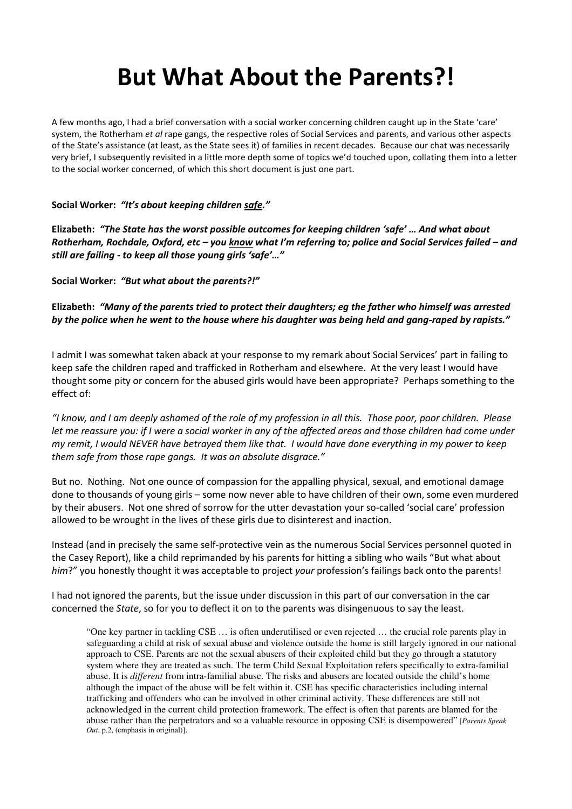# **But What About the Parents?!**

A few months ago, I had a brief conversation with a social worker concerning children caught up in the State 'care' system, the Rotherham *et al* rape gangs, the respective roles of Social Services and parents, and various other aspects of the State's assistance (at least, as the State sees it) of families in recent decades. Because our chat was necessarily very brief, I subsequently revisited in a little more depth some of topics we'd touched upon, collating them into a letter to the social worker concerned, of which this short document is just one part.

# **Social Worker:** *"It's about keeping children safe."*

**Elizabeth:** *"The State has the worst possible outcomes for keeping children 'safe' … And what about Rotherham, Rochdale, Oxford, etc – you know what I'm referring to; police and Social Services failed – and still are failing - to keep all those young girls 'safe'…"* 

**Social Worker:** *"But what about the parents?!"* 

**Elizabeth:** *"Many of the parents tried to protect their daughters; eg the father who himself was arrested by the police when he went to the house where his daughter was being held and gang-raped by rapists."* 

I admit I was somewhat taken aback at your response to my remark about Social Services' part in failing to keep safe the children raped and trafficked in Rotherham and elsewhere. At the very least I would have thought some pity or concern for the abused girls would have been appropriate? Perhaps something to the effect of:

*"I know, and I am deeply ashamed of the role of my profession in all this. Those poor, poor children. Please let me reassure you: if I were a social worker in any of the affected areas and those children had come under my remit, I would NEVER have betrayed them like that. I would have done everything in my power to keep them safe from those rape gangs. It was an absolute disgrace."* 

But no. Nothing. Not one ounce of compassion for the appalling physical, sexual, and emotional damage done to thousands of young girls – some now never able to have children of their own, some even murdered by their abusers. Not one shred of sorrow for the utter devastation your so-called 'social care' profession allowed to be wrought in the lives of these girls due to disinterest and inaction.

Instead (and in precisely the same self-protective vein as the numerous Social Services personnel quoted in the Casey Report), like a child reprimanded by his parents for hitting a sibling who wails "But what about *him*?" you honestly thought it was acceptable to project *your* profession's failings back onto the parents!

I had not ignored the parents, but the issue under discussion in this part of our conversation in the car concerned the *State*, so for you to deflect it on to the parents was disingenuous to say the least.

"One key partner in tackling CSE … is often underutilised or even rejected … the crucial role parents play in safeguarding a child at risk of sexual abuse and violence outside the home is still largely ignored in our national approach to CSE. Parents are not the sexual abusers of their exploited child but they go through a statutory system where they are treated as such. The term Child Sexual Exploitation refers specifically to extra-familial abuse. It is *different* from intra-familial abuse. The risks and abusers are located outside the child's home although the impact of the abuse will be felt within it. CSE has specific characteristics including internal trafficking and offenders who can be involved in other criminal activity. These differences are still not acknowledged in the current child protection framework. The effect is often that parents are blamed for the abuse rather than the perpetrators and so a valuable resource in opposing CSE is disempowered" [*Parents Speak Out*, p.2, (emphasis in original)].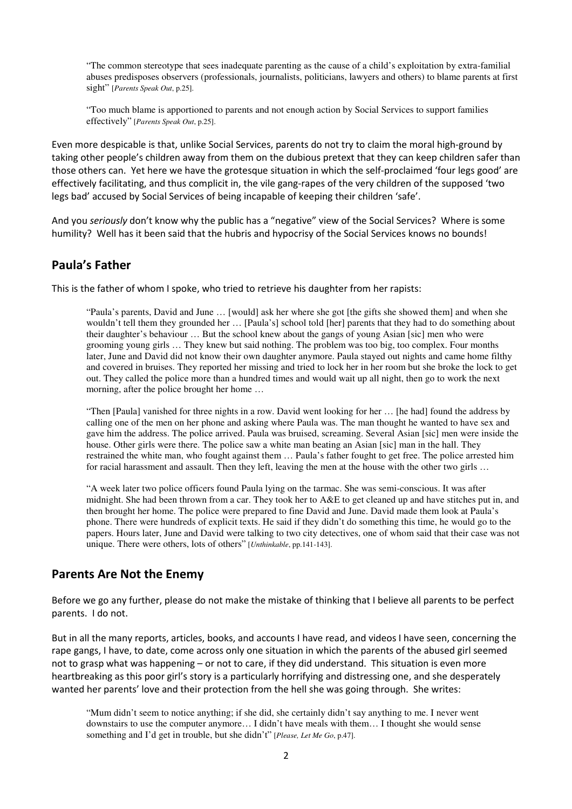"The common stereotype that sees inadequate parenting as the cause of a child's exploitation by extra-familial abuses predisposes observers (professionals, journalists, politicians, lawyers and others) to blame parents at first sight" [*Parents Speak Out*, p.25].

"Too much blame is apportioned to parents and not enough action by Social Services to support families effectively" [*Parents Speak Out*, p.25].

Even more despicable is that, unlike Social Services, parents do not try to claim the moral high-ground by taking other people's children away from them on the dubious pretext that they can keep children safer than those others can. Yet here we have the grotesque situation in which the self-proclaimed 'four legs good' are effectively facilitating, and thus complicit in, the vile gang-rapes of the very children of the supposed 'two legs bad' accused by Social Services of being incapable of keeping their children 'safe'.

And you *seriously* don't know why the public has a "negative" view of the Social Services? Where is some humility? Well has it been said that the hubris and hypocrisy of the Social Services knows no bounds!

# **Paula's Father**

This is the father of whom I spoke, who tried to retrieve his daughter from her rapists:

"Paula's parents, David and June … [would] ask her where she got [the gifts she showed them] and when she wouldn't tell them they grounded her … [Paula's] school told [her] parents that they had to do something about their daughter's behaviour … But the school knew about the gangs of young Asian [sic] men who were grooming young girls … They knew but said nothing. The problem was too big, too complex. Four months later, June and David did not know their own daughter anymore. Paula stayed out nights and came home filthy and covered in bruises. They reported her missing and tried to lock her in her room but she broke the lock to get out. They called the police more than a hundred times and would wait up all night, then go to work the next morning, after the police brought her home …

"Then [Paula] vanished for three nights in a row. David went looking for her … [he had] found the address by calling one of the men on her phone and asking where Paula was. The man thought he wanted to have sex and gave him the address. The police arrived. Paula was bruised, screaming. Several Asian [sic] men were inside the house. Other girls were there. The police saw a white man beating an Asian [sic] man in the hall. They restrained the white man, who fought against them … Paula's father fought to get free. The police arrested him for racial harassment and assault. Then they left, leaving the men at the house with the other two girls …

"A week later two police officers found Paula lying on the tarmac. She was semi-conscious. It was after midnight. She had been thrown from a car. They took her to A&E to get cleaned up and have stitches put in, and then brought her home. The police were prepared to fine David and June. David made them look at Paula's phone. There were hundreds of explicit texts. He said if they didn't do something this time, he would go to the papers. Hours later, June and David were talking to two city detectives, one of whom said that their case was not unique. There were others, lots of others" [*Unthinkable*, pp.141-143].

# **Parents Are Not the Enemy**

Before we go any further, please do not make the mistake of thinking that I believe all parents to be perfect parents. I do not.

But in all the many reports, articles, books, and accounts I have read, and videos I have seen, concerning the rape gangs, I have, to date, come across only one situation in which the parents of the abused girl seemed not to grasp what was happening – or not to care, if they did understand. This situation is even more heartbreaking as this poor girl's story is a particularly horrifying and distressing one, and she desperately wanted her parents' love and their protection from the hell she was going through. She writes:

"Mum didn't seem to notice anything; if she did, she certainly didn't say anything to me. I never went downstairs to use the computer anymore… I didn't have meals with them… I thought she would sense something and I'd get in trouble, but she didn't" [*Please, Let Me Go*, p.47].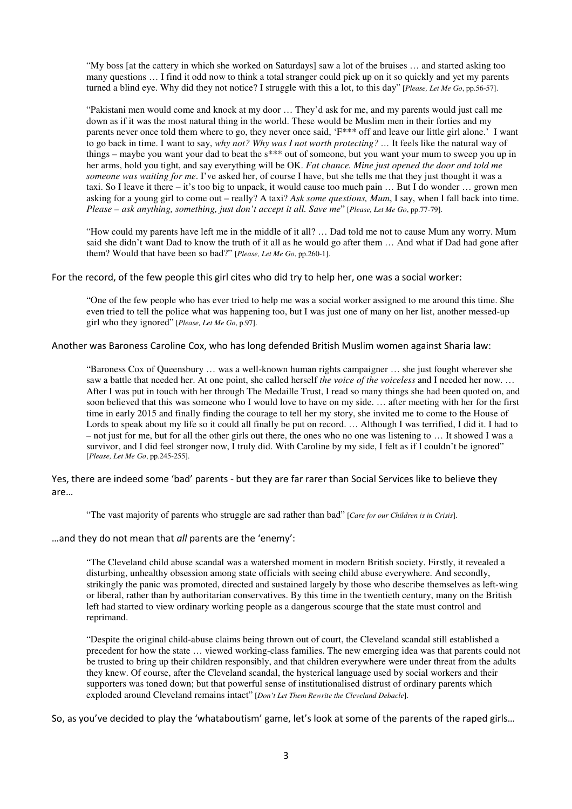"My boss [at the cattery in which she worked on Saturdays] saw a lot of the bruises … and started asking too many questions … I find it odd now to think a total stranger could pick up on it so quickly and yet my parents turned a blind eye. Why did they not notice? I struggle with this a lot, to this day" [*Please, Let Me Go*, pp.56-57].

"Pakistani men would come and knock at my door … They'd ask for me, and my parents would just call me down as if it was the most natural thing in the world. These would be Muslim men in their forties and my parents never once told them where to go, they never once said, 'F\*\*\* off and leave our little girl alone.' I want to go back in time. I want to say, *why not? Why was I not worth protecting? …* It feels like the natural way of things – maybe you want your dad to beat the s\*\*\* out of someone, but you want your mum to sweep you up in her arms, hold you tight, and say everything will be OK. *Fat chance. Mine just opened the door and told me someone was waiting for me*. I've asked her, of course I have, but she tells me that they just thought it was a taxi. So I leave it there – it's too big to unpack, it would cause too much pain … But I do wonder … grown men asking for a young girl to come out – really? A taxi? *Ask some questions, Mum*, I say, when I fall back into time. *Please – ask anything, something, just don't accept it all. Save me*" [*Please, Let Me Go*, pp.77-79].

"How could my parents have left me in the middle of it all? … Dad told me not to cause Mum any worry. Mum said she didn't want Dad to know the truth of it all as he would go after them … And what if Dad had gone after them? Would that have been so bad?" [*Please, Let Me Go*, pp.260-1].

For the record, of the few people this girl cites who did try to help her, one was a social worker:

"One of the few people who has ever tried to help me was a social worker assigned to me around this time. She even tried to tell the police what was happening too, but I was just one of many on her list, another messed-up girl who they ignored" [*Please, Let Me Go*, p.97].

Another was Baroness Caroline Cox, who has long defended British Muslim women against Sharia law:

"Baroness Cox of Queensbury … was a well-known human rights campaigner … she just fought wherever she saw a battle that needed her. At one point, she called herself *the voice of the voiceless* and I needed her now. … After I was put in touch with her through The Medaille Trust, I read so many things she had been quoted on, and soon believed that this was someone who I would love to have on my side. … after meeting with her for the first time in early 2015 and finally finding the courage to tell her my story, she invited me to come to the House of Lords to speak about my life so it could all finally be put on record. … Although I was terrified, I did it. I had to – not just for me, but for all the other girls out there, the ones who no one was listening to … It showed I was a survivor, and I did feel stronger now, I truly did. With Caroline by my side, I felt as if I couldn't be ignored" [*Please, Let Me Go*, pp.245-255].

Yes, there are indeed some 'bad' parents - but they are far rarer than Social Services like to believe they are…

"The vast majority of parents who struggle are sad rather than bad" [*Care for our Children is in Crisis*].

…and they do not mean that *all* parents are the 'enemy':

"The Cleveland child abuse scandal was a watershed moment in modern British society. Firstly, it revealed a disturbing, unhealthy obsession among state officials with seeing child abuse everywhere. And secondly, strikingly the panic was promoted, directed and sustained largely by those who describe themselves as left-wing or liberal, rather than by authoritarian conservatives. By this time in the twentieth century, many on the British left had started to view ordinary working people as a dangerous scourge that the state must control and reprimand.

"Despite the original child-abuse claims being thrown out of court, the Cleveland scandal still established a precedent for how the state … viewed working-class families. The new emerging idea was that parents could not be trusted to bring up their children responsibly, and that children everywhere were under threat from the adults they knew. Of course, after the Cleveland scandal, the hysterical language used by social workers and their supporters was toned down; but that powerful sense of institutionalised distrust of ordinary parents which exploded around Cleveland remains intact" [*Don't Let Them Rewrite the Cleveland Debacle*].

So, as you've decided to play the 'whataboutism' game, let's look at some of the parents of the raped girls…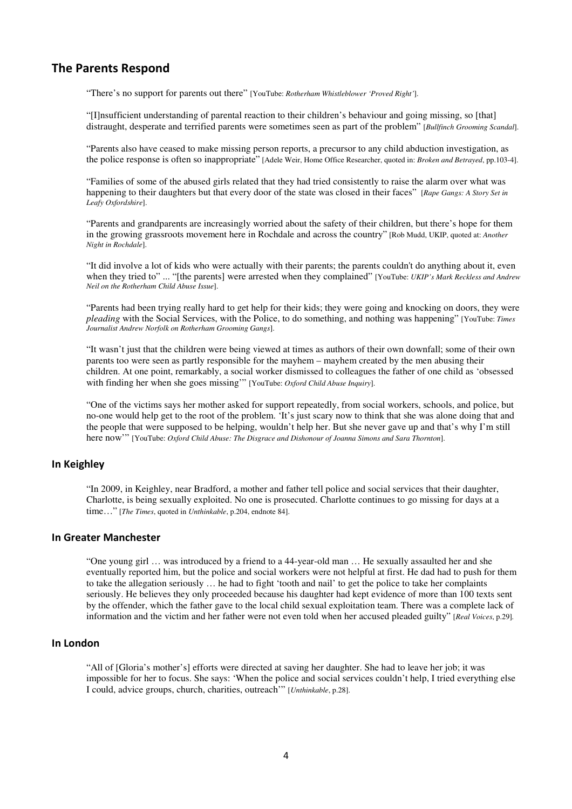# **The Parents Respond**

"There's no support for parents out there" [YouTube: *Rotherham Whistleblower 'Proved Right'*].

"[I]nsufficient understanding of parental reaction to their children's behaviour and going missing, so [that] distraught, desperate and terrified parents were sometimes seen as part of the problem" [*Bullfinch Grooming Scandal*].

"Parents also have ceased to make missing person reports, a precursor to any child abduction investigation, as the police response is often so inappropriate" [Adele Weir, Home Office Researcher, quoted in: *Broken and Betrayed*, pp.103-4].

"Families of some of the abused girls related that they had tried consistently to raise the alarm over what was happening to their daughters but that every door of the state was closed in their faces" [*Rape Gangs: A Story Set in Leafy Oxfordshire*].

"Parents and grandparents are increasingly worried about the safety of their children, but there's hope for them in the growing grassroots movement here in Rochdale and across the country" [Rob Mudd, UKIP, quoted at: *Another Night in Rochdale*].

"It did involve a lot of kids who were actually with their parents; the parents couldn't do anything about it, even when they tried to" ... "[the parents] were arrested when they complained" [YouTube: *UKIP's Mark Reckless and Andrew Neil on the Rotherham Child Abuse Issue*].

"Parents had been trying really hard to get help for their kids; they were going and knocking on doors, they were *pleading* with the Social Services, with the Police, to do something, and nothing was happening" [YouTube: *Times Journalist Andrew Norfolk on Rotherham Grooming Gangs*].

"It wasn't just that the children were being viewed at times as authors of their own downfall; some of their own parents too were seen as partly responsible for the mayhem – mayhem created by the men abusing their children. At one point, remarkably, a social worker dismissed to colleagues the father of one child as 'obsessed with finding her when she goes missing'" [YouTube: *Oxford Child Abuse Inquiry*].

"One of the victims says her mother asked for support repeatedly, from social workers, schools, and police, but no-one would help get to the root of the problem. 'It's just scary now to think that she was alone doing that and the people that were supposed to be helping, wouldn't help her. But she never gave up and that's why I'm still here now'" [YouTube: *Oxford Child Abuse: The Disgrace and Dishonour of Joanna Simons and Sara Thornton*].

# **In Keighley**

"In 2009, in Keighley, near Bradford, a mother and father tell police and social services that their daughter, Charlotte, is being sexually exploited. No one is prosecuted. Charlotte continues to go missing for days at a time…" [*The Times*, quoted in *Unthinkable*, p.204, endnote 84].

#### **In Greater Manchester**

"One young girl … was introduced by a friend to a 44-year-old man … He sexually assaulted her and she eventually reported him, but the police and social workers were not helpful at first. He dad had to push for them to take the allegation seriously … he had to fight 'tooth and nail' to get the police to take her complaints seriously. He believes they only proceeded because his daughter had kept evidence of more than 100 texts sent by the offender, which the father gave to the local child sexual exploitation team. There was a complete lack of information and the victim and her father were not even told when her accused pleaded guilty" [*Real Voices*, p.29]*.*

## **In London**

"All of [Gloria's mother's] efforts were directed at saving her daughter. She had to leave her job; it was impossible for her to focus. She says: 'When the police and social services couldn't help, I tried everything else I could, advice groups, church, charities, outreach'" [*Unthinkable*, p.28].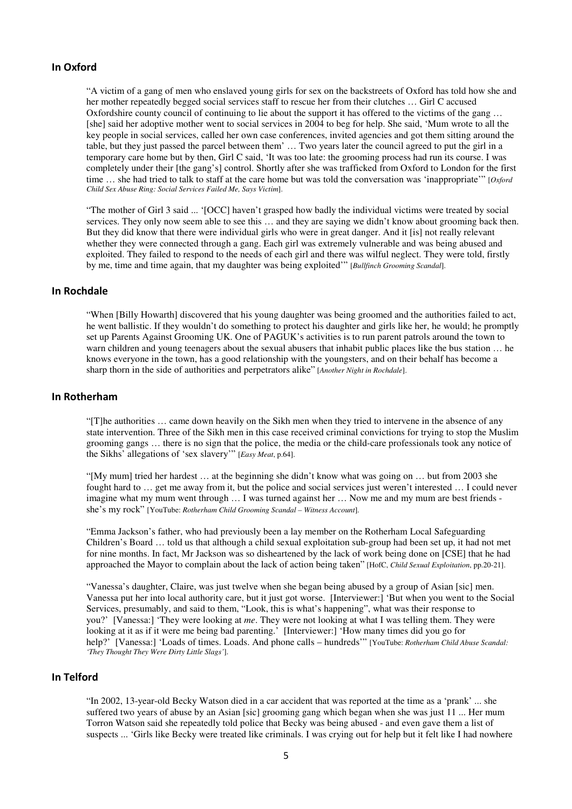#### **In Oxford**

"A victim of a gang of men who enslaved young girls for sex on the backstreets of Oxford has told how she and her mother repeatedly begged social services staff to rescue her from their clutches … Girl C accused Oxfordshire county council of continuing to lie about the support it has offered to the victims of the gang … [she] said her adoptive mother went to social services in 2004 to beg for help. She said, 'Mum wrote to all the key people in social services, called her own case conferences, invited agencies and got them sitting around the table, but they just passed the parcel between them' … Two years later the council agreed to put the girl in a temporary care home but by then, Girl C said, 'It was too late: the grooming process had run its course. I was completely under their [the gang's] control. Shortly after she was trafficked from Oxford to London for the first time … she had tried to talk to staff at the care home but was told the conversation was 'inappropriate'" [*Oxford Child Sex Abuse Ring: Social Services Failed Me, Says Victim*].

"The mother of Girl 3 said ... '[OCC] haven't grasped how badly the individual victims were treated by social services. They only now seem able to see this … and they are saying we didn't know about grooming back then. But they did know that there were individual girls who were in great danger. And it [is] not really relevant whether they were connected through a gang. Each girl was extremely vulnerable and was being abused and exploited. They failed to respond to the needs of each girl and there was wilful neglect. They were told, firstly by me, time and time again, that my daughter was being exploited'" [*Bullfinch Grooming Scandal*].

### **In Rochdale**

"When [Billy Howarth] discovered that his young daughter was being groomed and the authorities failed to act, he went ballistic. If they wouldn't do something to protect his daughter and girls like her, he would; he promptly set up Parents Against Grooming UK. One of PAGUK's activities is to run parent patrols around the town to warn children and young teenagers about the sexual abusers that inhabit public places like the bus station ... he knows everyone in the town, has a good relationship with the youngsters, and on their behalf has become a sharp thorn in the side of authorities and perpetrators alike" [*Another Night in Rochdale*].

#### **In Rotherham**

"[T]he authorities … came down heavily on the Sikh men when they tried to intervene in the absence of any state intervention. Three of the Sikh men in this case received criminal convictions for trying to stop the Muslim grooming gangs … there is no sign that the police, the media or the child-care professionals took any notice of the Sikhs' allegations of 'sex slavery'" [*Easy Meat*, p.64].

"[My mum] tried her hardest … at the beginning she didn't know what was going on … but from 2003 she fought hard to ... get me away from it, but the police and social services just weren't interested ... I could never imagine what my mum went through ... I was turned against her ... Now me and my mum are best friends she's my rock" [YouTube: *Rotherham Child Grooming Scandal – Witness Account*].

"Emma Jackson's father, who had previously been a lay member on the Rotherham Local Safeguarding Children's Board … told us that although a child sexual exploitation sub-group had been set up, it had not met for nine months. In fact, Mr Jackson was so disheartened by the lack of work being done on [CSE] that he had approached the Mayor to complain about the lack of action being taken" [HofC, *Child Sexual Exploitation*, pp.20-21].

"Vanessa's daughter, Claire, was just twelve when she began being abused by a group of Asian [sic] men. Vanessa put her into local authority care, but it just got worse. [Interviewer:] 'But when you went to the Social Services, presumably, and said to them, "Look, this is what's happening", what was their response to you?' [Vanessa:] 'They were looking at *me*. They were not looking at what I was telling them. They were looking at it as if it were me being bad parenting.' [Interviewer:] 'How many times did you go for help?' [Vanessa:] 'Loads of times. Loads. And phone calls – hundreds'" [YouTube: *Rotherham Child Abuse Scandal: 'They Thought They Were Dirty Little Slags'*].

#### **In Telford**

"In 2002, 13-year-old Becky Watson died in a car accident that was reported at the time as a 'prank' ... she suffered two years of abuse by an Asian [sic] grooming gang which began when she was just 11 ... Her mum Torron Watson said she repeatedly told police that Becky was being abused - and even gave them a list of suspects ... 'Girls like Becky were treated like criminals. I was crying out for help but it felt like I had nowhere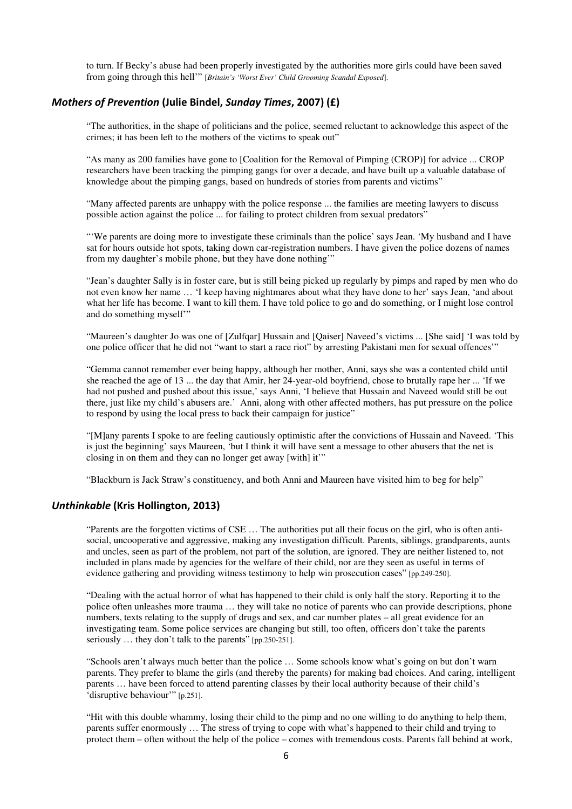to turn. If Becky's abuse had been properly investigated by the authorities more girls could have been saved from going through this hell'" [*Britain's 'Worst Ever' Child Grooming Scandal Exposed*].

## *Mothers of Prevention* **(Julie Bindel,** *Sunday Times***, 2007) (£)**

"The authorities, in the shape of politicians and the police, seemed reluctant to acknowledge this aspect of the crimes; it has been left to the mothers of the victims to speak out"

"As many as 200 families have gone to [Coalition for the Removal of Pimping (CROP)] for advice ... CROP researchers have been tracking the pimping gangs for over a decade, and have built up a valuable database of knowledge about the pimping gangs, based on hundreds of stories from parents and victims"

"Many affected parents are unhappy with the police response ... the families are meeting lawyers to discuss possible action against the police ... for failing to protect children from sexual predators"

"'We parents are doing more to investigate these criminals than the police' says Jean. 'My husband and I have sat for hours outside hot spots, taking down car-registration numbers. I have given the police dozens of names from my daughter's mobile phone, but they have done nothing'"

"Jean's daughter Sally is in foster care, but is still being picked up regularly by pimps and raped by men who do not even know her name … 'I keep having nightmares about what they have done to her' says Jean, 'and about what her life has become. I want to kill them. I have told police to go and do something, or I might lose control and do something myself'"

"Maureen's daughter Jo was one of [Zulfqar] Hussain and [Qaiser] Naveed's victims ... [She said] 'I was told by one police officer that he did not "want to start a race riot" by arresting Pakistani men for sexual offences'"

"Gemma cannot remember ever being happy, although her mother, Anni, says she was a contented child until she reached the age of 13 ... the day that Amir, her 24-year-old boyfriend, chose to brutally rape her ... 'If we had not pushed and pushed about this issue,' says Anni, 'I believe that Hussain and Naveed would still be out there, just like my child's abusers are.' Anni, along with other affected mothers, has put pressure on the police to respond by using the local press to back their campaign for justice"

"[M]any parents I spoke to are feeling cautiously optimistic after the convictions of Hussain and Naveed. 'This is just the beginning' says Maureen, 'but I think it will have sent a message to other abusers that the net is closing in on them and they can no longer get away [with] it'"

"Blackburn is Jack Straw's constituency, and both Anni and Maureen have visited him to beg for help"

## *Unthinkable* **(Kris Hollington, 2013)**

"Parents are the forgotten victims of CSE … The authorities put all their focus on the girl, who is often antisocial, uncooperative and aggressive, making any investigation difficult. Parents, siblings, grandparents, aunts and uncles, seen as part of the problem, not part of the solution, are ignored. They are neither listened to, not included in plans made by agencies for the welfare of their child, nor are they seen as useful in terms of evidence gathering and providing witness testimony to help win prosecution cases" [pp.249-250].

"Dealing with the actual horror of what has happened to their child is only half the story. Reporting it to the police often unleashes more trauma … they will take no notice of parents who can provide descriptions, phone numbers, texts relating to the supply of drugs and sex, and car number plates – all great evidence for an investigating team. Some police services are changing but still, too often, officers don't take the parents seriously … they don't talk to the parents" [pp.250-251].

"Schools aren't always much better than the police … Some schools know what's going on but don't warn parents. They prefer to blame the girls (and thereby the parents) for making bad choices. And caring, intelligent parents … have been forced to attend parenting classes by their local authority because of their child's 'disruptive behaviour'" [p.251].

"Hit with this double whammy, losing their child to the pimp and no one willing to do anything to help them, parents suffer enormously … The stress of trying to cope with what's happened to their child and trying to protect them – often without the help of the police – comes with tremendous costs. Parents fall behind at work,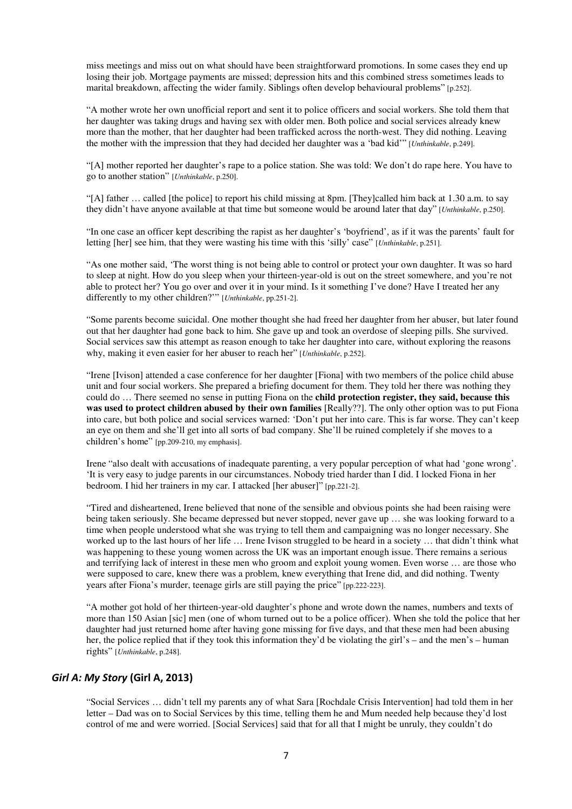miss meetings and miss out on what should have been straightforward promotions. In some cases they end up losing their job. Mortgage payments are missed; depression hits and this combined stress sometimes leads to marital breakdown, affecting the wider family. Siblings often develop behavioural problems" [p.252].

"A mother wrote her own unofficial report and sent it to police officers and social workers. She told them that her daughter was taking drugs and having sex with older men. Both police and social services already knew more than the mother, that her daughter had been trafficked across the north-west. They did nothing. Leaving the mother with the impression that they had decided her daughter was a 'bad kid'" [*Unthinkable*, p.249].

"[A] mother reported her daughter's rape to a police station. She was told: We don't do rape here. You have to go to another station" [*Unthinkable*, p.250].

"[A] father … called [the police] to report his child missing at 8pm. [They]called him back at 1.30 a.m. to say they didn't have anyone available at that time but someone would be around later that day" [*Unthinkable*, p.250].

"In one case an officer kept describing the rapist as her daughter's 'boyfriend', as if it was the parents' fault for letting [her] see him, that they were wasting his time with this 'silly' case" [*Unthinkable*, p.251].

"As one mother said, 'The worst thing is not being able to control or protect your own daughter. It was so hard to sleep at night. How do you sleep when your thirteen-year-old is out on the street somewhere, and you're not able to protect her? You go over and over it in your mind. Is it something I've done? Have I treated her any differently to my other children?'" [*Unthinkable*, pp.251-2].

"Some parents become suicidal. One mother thought she had freed her daughter from her abuser, but later found out that her daughter had gone back to him. She gave up and took an overdose of sleeping pills. She survived. Social services saw this attempt as reason enough to take her daughter into care, without exploring the reasons why, making it even easier for her abuser to reach her" [*Unthinkable*, p.252].

"Irene [Ivison] attended a case conference for her daughter [Fiona] with two members of the police child abuse unit and four social workers. She prepared a briefing document for them. They told her there was nothing they could do … There seemed no sense in putting Fiona on the **child protection register, they said, because this was used to protect children abused by their own families** [Really??]. The only other option was to put Fiona into care, but both police and social services warned: 'Don't put her into care. This is far worse. They can't keep an eye on them and she'll get into all sorts of bad company. She'll be ruined completely if she moves to a children's home" [pp.209-210, my emphasis].

Irene "also dealt with accusations of inadequate parenting, a very popular perception of what had 'gone wrong'. 'It is very easy to judge parents in our circumstances. Nobody tried harder than I did. I locked Fiona in her bedroom. I hid her trainers in my car. I attacked [her abuser]" [pp.221-2].

"Tired and disheartened, Irene believed that none of the sensible and obvious points she had been raising were being taken seriously. She became depressed but never stopped, never gave up … she was looking forward to a time when people understood what she was trying to tell them and campaigning was no longer necessary. She worked up to the last hours of her life … Irene Ivison struggled to be heard in a society … that didn't think what was happening to these young women across the UK was an important enough issue. There remains a serious and terrifying lack of interest in these men who groom and exploit young women. Even worse … are those who were supposed to care, knew there was a problem, knew everything that Irene did, and did nothing. Twenty years after Fiona's murder, teenage girls are still paying the price" [pp.222-223].

"A mother got hold of her thirteen-year-old daughter's phone and wrote down the names, numbers and texts of more than 150 Asian [sic] men (one of whom turned out to be a police officer). When she told the police that her daughter had just returned home after having gone missing for five days, and that these men had been abusing her, the police replied that if they took this information they'd be violating the girl's – and the men's – human rights" [*Unthinkable*, p.248].

# *Girl A: My Story* **(Girl A, 2013)**

"Social Services … didn't tell my parents any of what Sara [Rochdale Crisis Intervention] had told them in her letter – Dad was on to Social Services by this time, telling them he and Mum needed help because they'd lost control of me and were worried. [Social Services] said that for all that I might be unruly, they couldn't do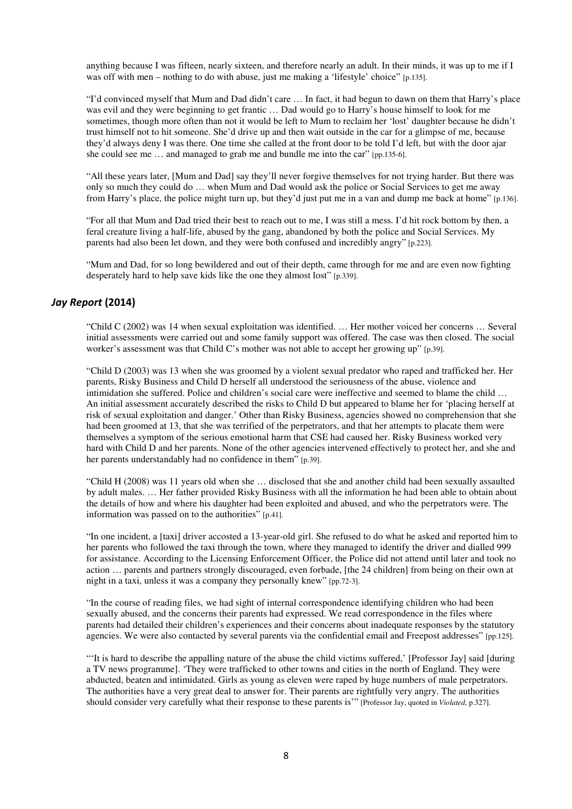anything because I was fifteen, nearly sixteen, and therefore nearly an adult. In their minds, it was up to me if I was off with men – nothing to do with abuse, just me making a 'lifestyle' choice'' [p.135].

"I'd convinced myself that Mum and Dad didn't care … In fact, it had begun to dawn on them that Harry's place was evil and they were beginning to get frantic … Dad would go to Harry's house himself to look for me sometimes, though more often than not it would be left to Mum to reclaim her 'lost' daughter because he didn't trust himself not to hit someone. She'd drive up and then wait outside in the car for a glimpse of me, because they'd always deny I was there. One time she called at the front door to be told I'd left, but with the door ajar she could see me … and managed to grab me and bundle me into the car" [pp.135-6].

"All these years later, [Mum and Dad] say they'll never forgive themselves for not trying harder. But there was only so much they could do … when Mum and Dad would ask the police or Social Services to get me away from Harry's place, the police might turn up, but they'd just put me in a van and dump me back at home" [p.136].

"For all that Mum and Dad tried their best to reach out to me, I was still a mess. I'd hit rock bottom by then, a feral creature living a half-life, abused by the gang, abandoned by both the police and Social Services. My parents had also been let down, and they were both confused and incredibly angry" [p.223].

"Mum and Dad, for so long bewildered and out of their depth, came through for me and are even now fighting desperately hard to help save kids like the one they almost lost" [p.339].

# *Jay Report* **(2014)**

"Child C (2002) was 14 when sexual exploitation was identified. … Her mother voiced her concerns … Several initial assessments were carried out and some family support was offered. The case was then closed. The social worker's assessment was that Child C's mother was not able to accept her growing up" [p.39].

"Child D (2003) was 13 when she was groomed by a violent sexual predator who raped and trafficked her. Her parents, Risky Business and Child D herself all understood the seriousness of the abuse, violence and intimidation she suffered. Police and children's social care were ineffective and seemed to blame the child … An initial assessment accurately described the risks to Child D but appeared to blame her for 'placing herself at risk of sexual exploitation and danger.' Other than Risky Business, agencies showed no comprehension that she had been groomed at 13, that she was terrified of the perpetrators, and that her attempts to placate them were themselves a symptom of the serious emotional harm that CSE had caused her. Risky Business worked very hard with Child D and her parents. None of the other agencies intervened effectively to protect her, and she and her parents understandably had no confidence in them" [p.39].

"Child H (2008) was 11 years old when she … disclosed that she and another child had been sexually assaulted by adult males. … Her father provided Risky Business with all the information he had been able to obtain about the details of how and where his daughter had been exploited and abused, and who the perpetrators were. The information was passed on to the authorities" [p.41].

"In one incident, a [taxi] driver accosted a 13-year-old girl. She refused to do what he asked and reported him to her parents who followed the taxi through the town, where they managed to identify the driver and dialled 999 for assistance. According to the Licensing Enforcement Officer, the Police did not attend until later and took no action … parents and partners strongly discouraged, even forbade, [the 24 children] from being on their own at night in a taxi, unless it was a company they personally knew" [pp.72-3].

"In the course of reading files, we had sight of internal correspondence identifying children who had been sexually abused, and the concerns their parents had expressed. We read correspondence in the files where parents had detailed their children's experiences and their concerns about inadequate responses by the statutory agencies. We were also contacted by several parents via the confidential email and Freepost addresses" [pp.125].

"'It is hard to describe the appalling nature of the abuse the child victims suffered,' [Professor Jay] said [during a TV news programme]. 'They were trafficked to other towns and cities in the north of England. They were abducted, beaten and intimidated. Girls as young as eleven were raped by huge numbers of male perpetrators. The authorities have a very great deal to answer for. Their parents are rightfully very angry. The authorities should consider very carefully what their response to these parents is'" [Professor Jay, quoted in *Violated*, p.327].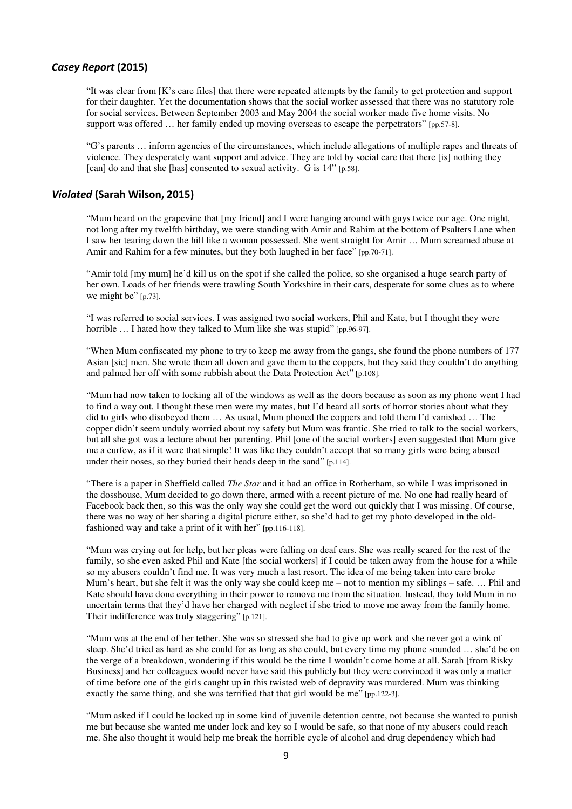#### *Casey Report* **(2015)**

"It was clear from [K's care files] that there were repeated attempts by the family to get protection and support for their daughter. Yet the documentation shows that the social worker assessed that there was no statutory role for social services. Between September 2003 and May 2004 the social worker made five home visits. No support was offered … her family ended up moving overseas to escape the perpetrators" [pp.57-8].

"G's parents … inform agencies of the circumstances, which include allegations of multiple rapes and threats of violence. They desperately want support and advice. They are told by social care that there [is] nothing they [can] do and that she [has] consented to sexual activity. G is 14" [p.58].

## *Violated* **(Sarah Wilson, 2015)**

"Mum heard on the grapevine that [my friend] and I were hanging around with guys twice our age. One night, not long after my twelfth birthday, we were standing with Amir and Rahim at the bottom of Psalters Lane when I saw her tearing down the hill like a woman possessed. She went straight for Amir … Mum screamed abuse at Amir and Rahim for a few minutes, but they both laughed in her face" [pp.70-71].

"Amir told [my mum] he'd kill us on the spot if she called the police, so she organised a huge search party of her own. Loads of her friends were trawling South Yorkshire in their cars, desperate for some clues as to where we might be" [p.73].

"I was referred to social services. I was assigned two social workers, Phil and Kate, but I thought they were horrible ... I hated how they talked to Mum like she was stupid" [pp.96-97].

"When Mum confiscated my phone to try to keep me away from the gangs, she found the phone numbers of 177 Asian [sic] men. She wrote them all down and gave them to the coppers, but they said they couldn't do anything and palmed her off with some rubbish about the Data Protection Act" [p.108].

"Mum had now taken to locking all of the windows as well as the doors because as soon as my phone went I had to find a way out. I thought these men were my mates, but I'd heard all sorts of horror stories about what they did to girls who disobeyed them … As usual, Mum phoned the coppers and told them I'd vanished … The copper didn't seem unduly worried about my safety but Mum was frantic. She tried to talk to the social workers, but all she got was a lecture about her parenting. Phil [one of the social workers] even suggested that Mum give me a curfew, as if it were that simple! It was like they couldn't accept that so many girls were being abused under their noses, so they buried their heads deep in the sand" [p.114].

"There is a paper in Sheffield called *The Star* and it had an office in Rotherham, so while I was imprisoned in the dosshouse, Mum decided to go down there, armed with a recent picture of me. No one had really heard of Facebook back then, so this was the only way she could get the word out quickly that I was missing. Of course, there was no way of her sharing a digital picture either, so she'd had to get my photo developed in the oldfashioned way and take a print of it with her" [pp.116-118].

"Mum was crying out for help, but her pleas were falling on deaf ears. She was really scared for the rest of the family, so she even asked Phil and Kate [the social workers] if I could be taken away from the house for a while so my abusers couldn't find me. It was very much a last resort. The idea of me being taken into care broke Mum's heart, but she felt it was the only way she could keep me – not to mention my siblings – safe. … Phil and Kate should have done everything in their power to remove me from the situation. Instead, they told Mum in no uncertain terms that they'd have her charged with neglect if she tried to move me away from the family home. Their indifference was truly staggering" [p.121].

"Mum was at the end of her tether. She was so stressed she had to give up work and she never got a wink of sleep. She'd tried as hard as she could for as long as she could, but every time my phone sounded … she'd be on the verge of a breakdown, wondering if this would be the time I wouldn't come home at all. Sarah [from Risky Business] and her colleagues would never have said this publicly but they were convinced it was only a matter of time before one of the girls caught up in this twisted web of depravity was murdered. Mum was thinking exactly the same thing, and she was terrified that that girl would be me" [pp.122-3].

"Mum asked if I could be locked up in some kind of juvenile detention centre, not because she wanted to punish me but because she wanted me under lock and key so I would be safe, so that none of my abusers could reach me. She also thought it would help me break the horrible cycle of alcohol and drug dependency which had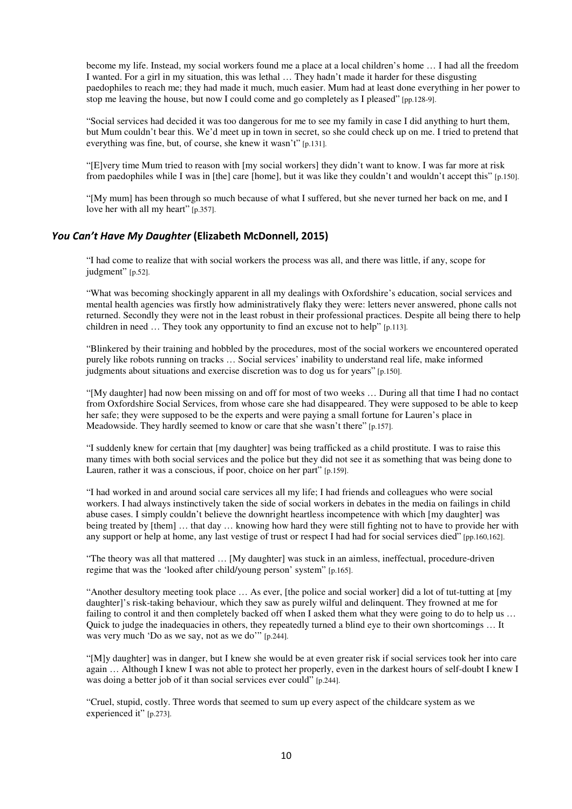become my life. Instead, my social workers found me a place at a local children's home … I had all the freedom I wanted. For a girl in my situation, this was lethal … They hadn't made it harder for these disgusting paedophiles to reach me; they had made it much, much easier. Mum had at least done everything in her power to stop me leaving the house, but now I could come and go completely as I pleased" [pp.128-9].

"Social services had decided it was too dangerous for me to see my family in case I did anything to hurt them, but Mum couldn't bear this. We'd meet up in town in secret, so she could check up on me. I tried to pretend that everything was fine, but, of course, she knew it wasn't" [p.131].

"[E]very time Mum tried to reason with [my social workers] they didn't want to know. I was far more at risk from paedophiles while I was in [the] care [home], but it was like they couldn't and wouldn't accept this" [p.150].

"[My mum] has been through so much because of what I suffered, but she never turned her back on me, and I love her with all my heart" [p.357].

## *You Can't Have My Daughter* **(Elizabeth McDonnell, 2015)**

"I had come to realize that with social workers the process was all, and there was little, if any, scope for judgment" [p.52].

"What was becoming shockingly apparent in all my dealings with Oxfordshire's education, social services and mental health agencies was firstly how administratively flaky they were: letters never answered, phone calls not returned. Secondly they were not in the least robust in their professional practices. Despite all being there to help children in need … They took any opportunity to find an excuse not to help" [p.113].

"Blinkered by their training and hobbled by the procedures, most of the social workers we encountered operated purely like robots running on tracks … Social services' inability to understand real life, make informed judgments about situations and exercise discretion was to dog us for years" [p.150].

"[My daughter] had now been missing on and off for most of two weeks … During all that time I had no contact from Oxfordshire Social Services, from whose care she had disappeared. They were supposed to be able to keep her safe; they were supposed to be the experts and were paying a small fortune for Lauren's place in Meadowside. They hardly seemed to know or care that she wasn't there" [p.157].

"I suddenly knew for certain that [my daughter] was being trafficked as a child prostitute. I was to raise this many times with both social services and the police but they did not see it as something that was being done to Lauren, rather it was a conscious, if poor, choice on her part" [p.159].

"I had worked in and around social care services all my life; I had friends and colleagues who were social workers. I had always instinctively taken the side of social workers in debates in the media on failings in child abuse cases. I simply couldn't believe the downright heartless incompetence with which [my daughter] was being treated by [them] … that day … knowing how hard they were still fighting not to have to provide her with any support or help at home, any last vestige of trust or respect I had had for social services died" [pp.160,162].

"The theory was all that mattered … [My daughter] was stuck in an aimless, ineffectual, procedure-driven regime that was the 'looked after child/young person' system" [p.165].

"Another desultory meeting took place … As ever, [the police and social worker] did a lot of tut-tutting at [my daughter]'s risk-taking behaviour, which they saw as purely wilful and delinquent. They frowned at me for failing to control it and then completely backed off when I asked them what they were going to do to help us … Quick to judge the inadequacies in others, they repeatedly turned a blind eye to their own shortcomings … It was very much 'Do as we say, not as we do'" [p.244].

"[M]y daughter] was in danger, but I knew she would be at even greater risk if social services took her into care again … Although I knew I was not able to protect her properly, even in the darkest hours of self-doubt I knew I was doing a better job of it than social services ever could" [p.244].

"Cruel, stupid, costly. Three words that seemed to sum up every aspect of the childcare system as we experienced it" [p.273].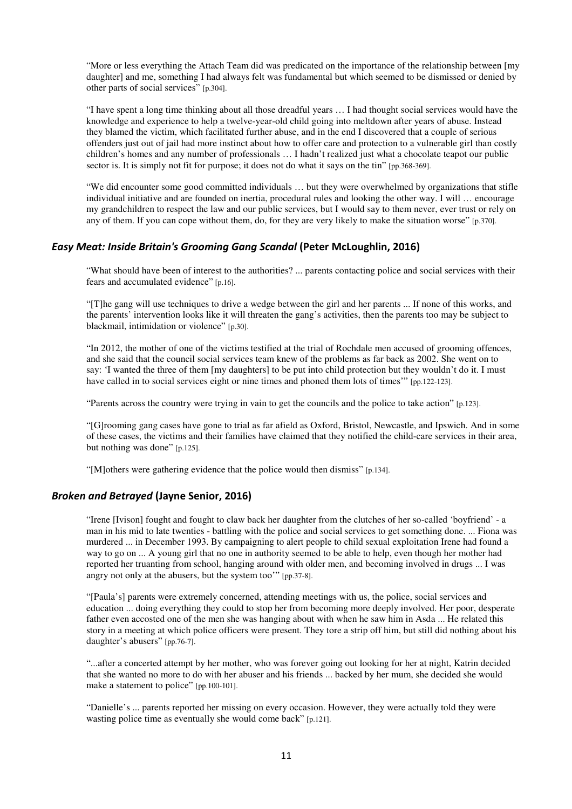"More or less everything the Attach Team did was predicated on the importance of the relationship between [my daughter] and me, something I had always felt was fundamental but which seemed to be dismissed or denied by other parts of social services" [p.304].

"I have spent a long time thinking about all those dreadful years … I had thought social services would have the knowledge and experience to help a twelve-year-old child going into meltdown after years of abuse. Instead they blamed the victim, which facilitated further abuse, and in the end I discovered that a couple of serious offenders just out of jail had more instinct about how to offer care and protection to a vulnerable girl than costly children's homes and any number of professionals … I hadn't realized just what a chocolate teapot our public sector is. It is simply not fit for purpose; it does not do what it says on the tin" [pp.368-369].

"We did encounter some good committed individuals … but they were overwhelmed by organizations that stifle individual initiative and are founded on inertia, procedural rules and looking the other way. I will … encourage my grandchildren to respect the law and our public services, but I would say to them never, ever trust or rely on any of them. If you can cope without them, do, for they are very likely to make the situation worse" [p.370].

#### *Easy Meat: Inside Britain's Grooming Gang Scandal* **(Peter McLoughlin, 2016)**

"What should have been of interest to the authorities? ... parents contacting police and social services with their fears and accumulated evidence" [p.16].

"[T]he gang will use techniques to drive a wedge between the girl and her parents ... If none of this works, and the parents' intervention looks like it will threaten the gang's activities, then the parents too may be subject to blackmail, intimidation or violence" [p.30].

"In 2012, the mother of one of the victims testified at the trial of Rochdale men accused of grooming offences, and she said that the council social services team knew of the problems as far back as 2002. She went on to say: 'I wanted the three of them [my daughters] to be put into child protection but they wouldn't do it. I must have called in to social services eight or nine times and phoned them lots of times'" [pp.122-123].

"Parents across the country were trying in vain to get the councils and the police to take action" [p.123].

"[G]rooming gang cases have gone to trial as far afield as Oxford, Bristol, Newcastle, and Ipswich. And in some of these cases, the victims and their families have claimed that they notified the child-care services in their area, but nothing was done" [p.125].

"[M]others were gathering evidence that the police would then dismiss" [p.134].

#### *Broken and Betrayed* **(Jayne Senior, 2016)**

"Irene [Ivison] fought and fought to claw back her daughter from the clutches of her so-called 'boyfriend' - a man in his mid to late twenties - battling with the police and social services to get something done. ... Fiona was murdered ... in December 1993. By campaigning to alert people to child sexual exploitation Irene had found a way to go on ... A young girl that no one in authority seemed to be able to help, even though her mother had reported her truanting from school, hanging around with older men, and becoming involved in drugs ... I was angry not only at the abusers, but the system too'" [pp.37-8].

"[Paula's] parents were extremely concerned, attending meetings with us, the police, social services and education ... doing everything they could to stop her from becoming more deeply involved. Her poor, desperate father even accosted one of the men she was hanging about with when he saw him in Asda ... He related this story in a meeting at which police officers were present. They tore a strip off him, but still did nothing about his daughter's abusers" [pp.76-7].

"...after a concerted attempt by her mother, who was forever going out looking for her at night, Katrin decided that she wanted no more to do with her abuser and his friends ... backed by her mum, she decided she would make a statement to police" [pp.100-101].

"Danielle's ... parents reported her missing on every occasion. However, they were actually told they were wasting police time as eventually she would come back" [p.121].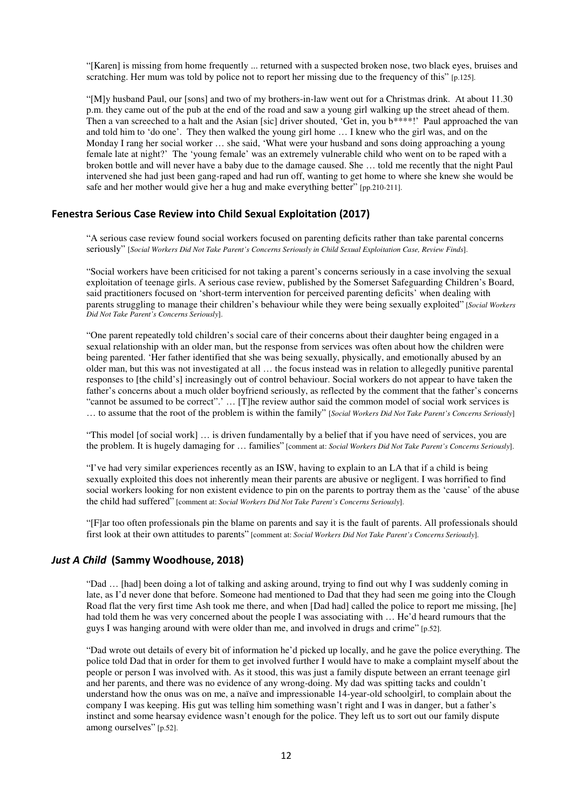"[Karen] is missing from home frequently ... returned with a suspected broken nose, two black eyes, bruises and scratching. Her mum was told by police not to report her missing due to the frequency of this" [p.125].

"[M]y husband Paul, our [sons] and two of my brothers-in-law went out for a Christmas drink. At about 11.30 p.m. they came out of the pub at the end of the road and saw a young girl walking up the street ahead of them. Then a van screeched to a halt and the Asian [sic] driver shouted, 'Get in, you b\*\*\*\*!' Paul approached the van and told him to 'do one'. They then walked the young girl home … I knew who the girl was, and on the Monday I rang her social worker … she said, 'What were your husband and sons doing approaching a young female late at night?' The 'young female' was an extremely vulnerable child who went on to be raped with a broken bottle and will never have a baby due to the damage caused. She … told me recently that the night Paul intervened she had just been gang-raped and had run off, wanting to get home to where she knew she would be safe and her mother would give her a hug and make everything better" [pp.210-211].

# **Fenestra Serious Case Review into Child Sexual Exploitation (2017)**

"A serious case review found social workers focused on parenting deficits rather than take parental concerns seriously" [*Social Workers Did Not Take Parent's Concerns Seriously in Child Sexual Exploitation Case, Review Finds*].

"Social workers have been criticised for not taking a parent's concerns seriously in a case involving the sexual exploitation of teenage girls. A serious case review, published by the Somerset Safeguarding Children's Board, said practitioners focused on 'short-term intervention for perceived parenting deficits' when dealing with parents struggling to manage their children's behaviour while they were being sexually exploited" [*Social Workers Did Not Take Parent's Concerns Seriously*].

"One parent repeatedly told children's social care of their concerns about their daughter being engaged in a sexual relationship with an older man, but the response from services was often about how the children were being parented. 'Her father identified that she was being sexually, physically, and emotionally abused by an older man, but this was not investigated at all … the focus instead was in relation to allegedly punitive parental responses to [the child's] increasingly out of control behaviour. Social workers do not appear to have taken the father's concerns about a much older boyfriend seriously, as reflected by the comment that the father's concerns "cannot be assumed to be correct".' … [T]he review author said the common model of social work services is … to assume that the root of the problem is within the family" [*Social Workers Did Not Take Parent's Concerns Seriously*]

"This model [of social work] … is driven fundamentally by a belief that if you have need of services, you are the problem. It is hugely damaging for … families" [comment at: *Social Workers Did Not Take Parent's Concerns Seriously*].

"I've had very similar experiences recently as an ISW, having to explain to an LA that if a child is being sexually exploited this does not inherently mean their parents are abusive or negligent. I was horrified to find social workers looking for non existent evidence to pin on the parents to portray them as the 'cause' of the abuse the child had suffered" [comment at: *Social Workers Did Not Take Parent's Concerns Seriously*].

"[F]ar too often professionals pin the blame on parents and say it is the fault of parents. All professionals should first look at their own attitudes to parents" [comment at: *Social Workers Did Not Take Parent's Concerns Seriously*].

#### *Just A Child* **(Sammy Woodhouse, 2018)**

"Dad … [had] been doing a lot of talking and asking around, trying to find out why I was suddenly coming in late, as I'd never done that before. Someone had mentioned to Dad that they had seen me going into the Clough Road flat the very first time Ash took me there, and when [Dad had] called the police to report me missing, [he] had told them he was very concerned about the people I was associating with ... He'd heard rumours that the guys I was hanging around with were older than me, and involved in drugs and crime" [p.52].

"Dad wrote out details of every bit of information he'd picked up locally, and he gave the police everything. The police told Dad that in order for them to get involved further I would have to make a complaint myself about the people or person I was involved with. As it stood, this was just a family dispute between an errant teenage girl and her parents, and there was no evidence of any wrong-doing. My dad was spitting tacks and couldn't understand how the onus was on me, a naïve and impressionable 14-year-old schoolgirl, to complain about the company I was keeping. His gut was telling him something wasn't right and I was in danger, but a father's instinct and some hearsay evidence wasn't enough for the police. They left us to sort out our family dispute among ourselves" [p.52].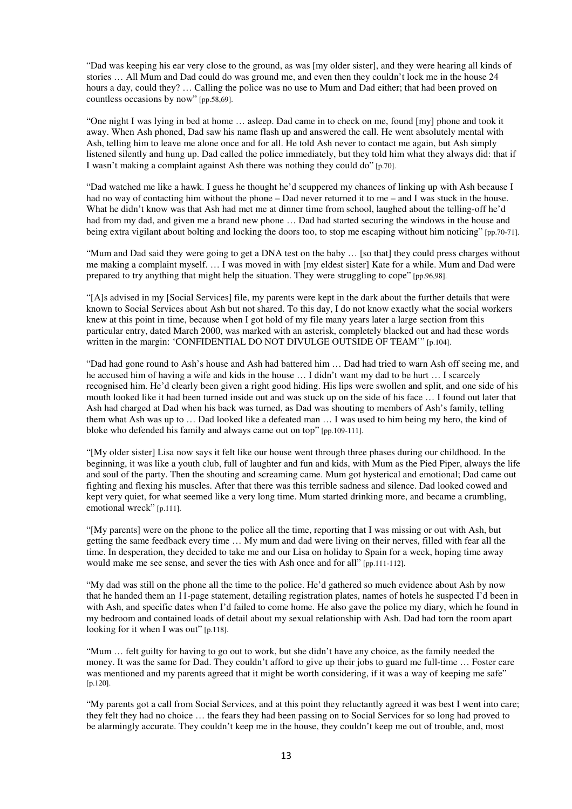"Dad was keeping his ear very close to the ground, as was [my older sister], and they were hearing all kinds of stories … All Mum and Dad could do was ground me, and even then they couldn't lock me in the house 24 hours a day, could they? ... Calling the police was no use to Mum and Dad either; that had been proved on countless occasions by now" [pp.58,69].

"One night I was lying in bed at home … asleep. Dad came in to check on me, found [my] phone and took it away. When Ash phoned, Dad saw his name flash up and answered the call. He went absolutely mental with Ash, telling him to leave me alone once and for all. He told Ash never to contact me again, but Ash simply listened silently and hung up. Dad called the police immediately, but they told him what they always did: that if I wasn't making a complaint against Ash there was nothing they could do" [p.70].

"Dad watched me like a hawk. I guess he thought he'd scuppered my chances of linking up with Ash because I had no way of contacting him without the phone – Dad never returned it to me – and I was stuck in the house. What he didn't know was that Ash had met me at dinner time from school, laughed about the telling-off he'd had from my dad, and given me a brand new phone ... Dad had started securing the windows in the house and being extra vigilant about bolting and locking the doors too, to stop me escaping without him noticing" [pp.70-71].

"Mum and Dad said they were going to get a DNA test on the baby … [so that] they could press charges without me making a complaint myself. … I was moved in with [my eldest sister] Kate for a while. Mum and Dad were prepared to try anything that might help the situation. They were struggling to cope" [pp.96,98].

"[A]s advised in my [Social Services] file, my parents were kept in the dark about the further details that were known to Social Services about Ash but not shared. To this day, I do not know exactly what the social workers knew at this point in time, because when I got hold of my file many years later a large section from this particular entry, dated March 2000, was marked with an asterisk, completely blacked out and had these words written in the margin: 'CONFIDENTIAL DO NOT DIVULGE OUTSIDE OF TEAM'" [p.104].

"Dad had gone round to Ash's house and Ash had battered him … Dad had tried to warn Ash off seeing me, and he accused him of having a wife and kids in the house … I didn't want my dad to be hurt … I scarcely recognised him. He'd clearly been given a right good hiding. His lips were swollen and split, and one side of his mouth looked like it had been turned inside out and was stuck up on the side of his face … I found out later that Ash had charged at Dad when his back was turned, as Dad was shouting to members of Ash's family, telling them what Ash was up to … Dad looked like a defeated man … I was used to him being my hero, the kind of bloke who defended his family and always came out on top" [pp.109-111].

"[My older sister] Lisa now says it felt like our house went through three phases during our childhood. In the beginning, it was like a youth club, full of laughter and fun and kids, with Mum as the Pied Piper, always the life and soul of the party. Then the shouting and screaming came. Mum got hysterical and emotional; Dad came out fighting and flexing his muscles. After that there was this terrible sadness and silence. Dad looked cowed and kept very quiet, for what seemed like a very long time. Mum started drinking more, and became a crumbling, emotional wreck" [p.111].

"[My parents] were on the phone to the police all the time, reporting that I was missing or out with Ash, but getting the same feedback every time … My mum and dad were living on their nerves, filled with fear all the time. In desperation, they decided to take me and our Lisa on holiday to Spain for a week, hoping time away would make me see sense, and sever the ties with Ash once and for all" [pp.111-112].

"My dad was still on the phone all the time to the police. He'd gathered so much evidence about Ash by now that he handed them an 11-page statement, detailing registration plates, names of hotels he suspected I'd been in with Ash, and specific dates when I'd failed to come home. He also gave the police my diary, which he found in my bedroom and contained loads of detail about my sexual relationship with Ash. Dad had torn the room apart looking for it when I was out" [p.118].

"Mum … felt guilty for having to go out to work, but she didn't have any choice, as the family needed the money. It was the same for Dad. They couldn't afford to give up their jobs to guard me full-time … Foster care was mentioned and my parents agreed that it might be worth considering, if it was a way of keeping me safe" [p.120].

"My parents got a call from Social Services, and at this point they reluctantly agreed it was best I went into care; they felt they had no choice … the fears they had been passing on to Social Services for so long had proved to be alarmingly accurate. They couldn't keep me in the house, they couldn't keep me out of trouble, and, most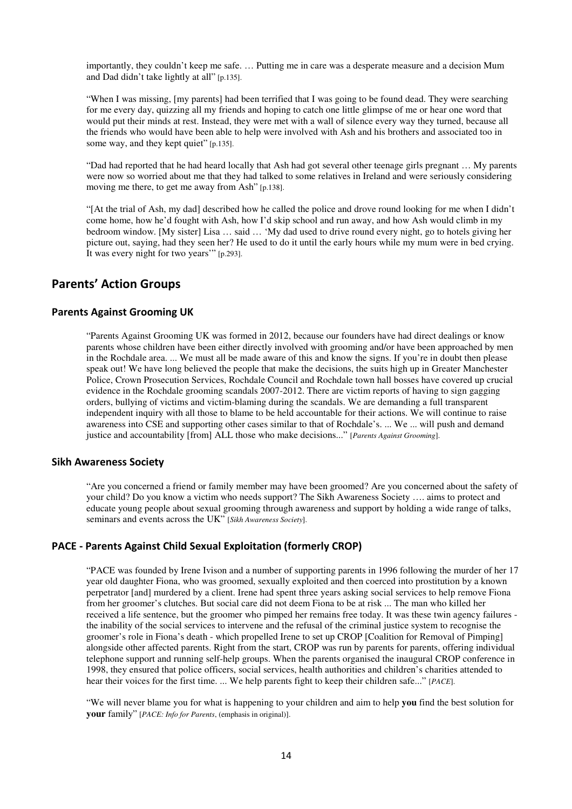importantly, they couldn't keep me safe. … Putting me in care was a desperate measure and a decision Mum and Dad didn't take lightly at all" [p.135].

"When I was missing, [my parents] had been terrified that I was going to be found dead. They were searching for me every day, quizzing all my friends and hoping to catch one little glimpse of me or hear one word that would put their minds at rest. Instead, they were met with a wall of silence every way they turned, because all the friends who would have been able to help were involved with Ash and his brothers and associated too in some way, and they kept quiet" [p.135].

"Dad had reported that he had heard locally that Ash had got several other teenage girls pregnant … My parents were now so worried about me that they had talked to some relatives in Ireland and were seriously considering moving me there, to get me away from Ash" [p.138].

"[At the trial of Ash, my dad] described how he called the police and drove round looking for me when I didn't come home, how he'd fought with Ash, how I'd skip school and run away, and how Ash would climb in my bedroom window. [My sister] Lisa … said … 'My dad used to drive round every night, go to hotels giving her picture out, saying, had they seen her? He used to do it until the early hours while my mum were in bed crying. It was every night for two years'" [p.293].

# **Parents' Action Groups**

# **Parents Against Grooming UK**

"Parents Against Grooming UK was formed in 2012, because our founders have had direct dealings or know parents whose children have been either directly involved with grooming and/or have been approached by men in the Rochdale area. ... We must all be made aware of this and know the signs. If you're in doubt then please speak out! We have long believed the people that make the decisions, the suits high up in Greater Manchester Police, Crown Prosecution Services, Rochdale Council and Rochdale town hall bosses have covered up crucial evidence in the Rochdale grooming scandals 2007-2012. There are victim reports of having to sign gagging orders, bullying of victims and victim-blaming during the scandals. We are demanding a full transparent independent inquiry with all those to blame to be held accountable for their actions. We will continue to raise awareness into CSE and supporting other cases similar to that of Rochdale's. ... We ... will push and demand justice and accountability [from] ALL those who make decisions..." [*Parents Against Grooming*].

## **Sikh Awareness Society**

"Are you concerned a friend or family member may have been groomed? Are you concerned about the safety of your child? Do you know a victim who needs support? The Sikh Awareness Society …. aims to protect and educate young people about sexual grooming through awareness and support by holding a wide range of talks, seminars and events across the UK" [*Sikh Awareness Society*].

## **PACE - Parents Against Child Sexual Exploitation (formerly CROP)**

"PACE was founded by Irene Ivison and a number of supporting parents in 1996 following the murder of her 17 year old daughter Fiona, who was groomed, sexually exploited and then coerced into prostitution by a known perpetrator [and] murdered by a client. Irene had spent three years asking social services to help remove Fiona from her groomer's clutches. But social care did not deem Fiona to be at risk ... The man who killed her received a life sentence, but the groomer who pimped her remains free today. It was these twin agency failures the inability of the social services to intervene and the refusal of the criminal justice system to recognise the groomer's role in Fiona's death - which propelled Irene to set up CROP [Coalition for Removal of Pimping] alongside other affected parents. Right from the start, CROP was run by parents for parents, offering individual telephone support and running self-help groups. When the parents organised the inaugural CROP conference in 1998, they ensured that police officers, social services, health authorities and children's charities attended to hear their voices for the first time. ... We help parents fight to keep their children safe..." [*PACE*].

"We will never blame you for what is happening to your children and aim to help **you** find the best solution for **your** family" [*PACE: Info for Parents*, (emphasis in original)].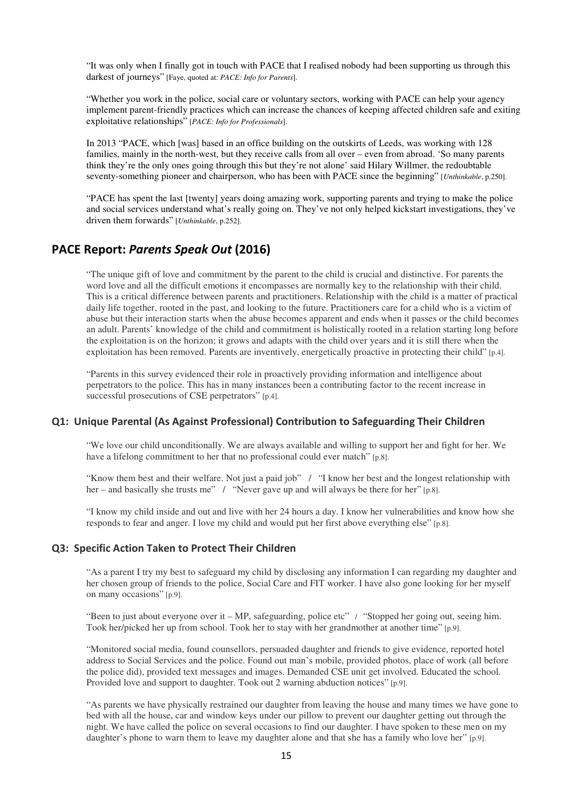"It was only when I finally got in touch with PACE that I realised nobody had been supporting us through this darkest of journeys" [Faye, quoted at: *PACE: Info for Parents*].

"Whether you work in the police, social care or voluntary sectors, working with PACE can help your agency implement parent-friendly practices which can increase the chances of keeping affected children safe and exiting exploitative relationships" [*PACE: Info for Professionals*].

In 2013 "PACE, which [was] based in an office building on the outskirts of Leeds, was working with 128 families, mainly in the north-west, but they receive calls from all over – even from abroad. 'So many parents think they're the only ones going through this but they're not alone' said Hilary Willmer, the redoubtable seventy-something pioneer and chairperson, who has been with PACE since the beginning" [*Unthinkable*, p.250].

"PACE has spent the last [twenty] years doing amazing work, supporting parents and trying to make the police and social services understand what's really going on. They've not only helped kickstart investigations, they've driven them forwards" [*Unthinkable*, p.252].

# **PACE Report:** *Parents Speak Out* **(2016)**

"The unique gift of love and commitment by the parent to the child is crucial and distinctive. For parents the word love and all the difficult emotions it encompasses are normally key to the relationship with their child. This is a critical difference between parents and practitioners. Relationship with the child is a matter of practical daily life together, rooted in the past, and looking to the future. Practitioners care for a child who is a victim of abuse but their interaction starts when the abuse becomes apparent and ends when it passes or the child becomes an adult. Parents' knowledge of the child and commitment is holistically rooted in a relation starting long before the exploitation is on the horizon; it grows and adapts with the child over years and it is still there when the exploitation has been removed. Parents are inventively, energetically proactive in protecting their child" [p.4].

"Parents in this survey evidenced their role in proactively providing information and intelligence about perpetrators to the police. This has in many instances been a contributing factor to the recent increase in successful prosecutions of CSE perpetrators" [p.4].

#### **Q1: Unique Parental (As Against Professional) Contribution to Safeguarding Their Children**

"We love our child unconditionally. We are always available and willing to support her and fight for her. We have a lifelong commitment to her that no professional could ever match" [p.8].

"Know them best and their welfare. Not just a paid job" / "I know her best and the longest relationship with her – and basically she trusts me" / "Never gave up and will always be there for her" [p.8].

"I know my child inside and out and live with her 24 hours a day. I know her vulnerabilities and know how she responds to fear and anger. I love my child and would put her first above everything else" [p.8].

# **Q3: Specific Action Taken to Protect Their Children**

"As a parent I try my best to safeguard my child by disclosing any information I can regarding my daughter and her chosen group of friends to the police, Social Care and FIT worker. I have also gone looking for her myself on many occasions" [p.9].

"Been to just about everyone over it – MP, safeguarding, police etc" / "Stopped her going out, seeing him. Took her/picked her up from school. Took her to stay with her grandmother at another time" [p.9].

"Monitored social media, found counsellors, persuaded daughter and friends to give evidence, reported hotel address to Social Services and the police. Found out man's mobile, provided photos, place of work (all before the police did), provided text messages and images. Demanded CSE unit get involved. Educated the school. Provided love and support to daughter. Took out 2 warning abduction notices" [p.9].

"As parents we have physically restrained our daughter from leaving the house and many times we have gone to bed with all the house, car and window keys under our pillow to prevent our daughter getting out through the night. We have called the police on several occasions to find our daughter. I have spoken to these men on my daughter's phone to warn them to leave my daughter alone and that she has a family who love her" [p.9].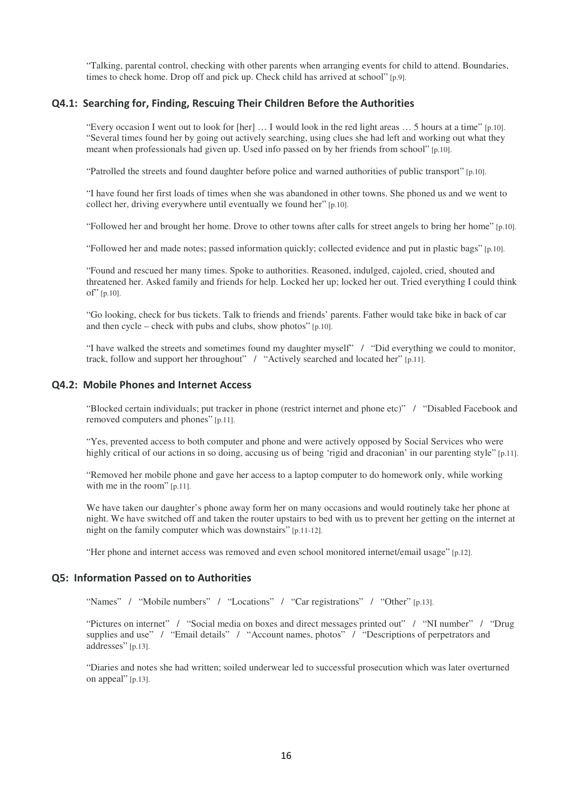"Talking, parental control, checking with other parents when arranging events for child to attend. Boundaries, times to check home. Drop off and pick up. Check child has arrived at school" [p.9].

#### **Q4.1: Searching for, Finding, Rescuing Their Children Before the Authorities**

"Every occasion I went out to look for [her] … I would look in the red light areas … 5 hours at a time" [p.10]. "Several times found her by going out actively searching, using clues she had left and working out what they meant when professionals had given up. Used info passed on by her friends from school" [p.10].

"Patrolled the streets and found daughter before police and warned authorities of public transport" [p.10].

"I have found her first loads of times when she was abandoned in other towns. She phoned us and we went to collect her, driving everywhere until eventually we found her" [p.10].

"Followed her and brought her home. Drove to other towns after calls for street angels to bring her home" [p.10].

"Followed her and made notes; passed information quickly; collected evidence and put in plastic bags" [p.10].

"Found and rescued her many times. Spoke to authorities. Reasoned, indulged, cajoled, cried, shouted and threatened her. Asked family and friends for help. Locked her up; locked her out. Tried everything I could think of"  $[p.10]$ .

"Go looking, check for bus tickets. Talk to friends and friends' parents. Father would take bike in back of car and then cycle – check with pubs and clubs, show photos" [p.10].

"I have walked the streets and sometimes found my daughter myself" / "Did everything we could to monitor, track, follow and support her throughout" / "Actively searched and located her" [p.11].

#### **Q4.2: Mobile Phones and Internet Access**

"Blocked certain individuals; put tracker in phone (restrict internet and phone etc)" / "Disabled Facebook and removed computers and phones" [p.11].

"Yes, prevented access to both computer and phone and were actively opposed by Social Services who were highly critical of our actions in so doing, accusing us of being 'rigid and draconian' in our parenting style" [p.11].

"Removed her mobile phone and gave her access to a laptop computer to do homework only, while working with me in the room" [p.11].

We have taken our daughter's phone away form her on many occasions and would routinely take her phone at night. We have switched off and taken the router upstairs to bed with us to prevent her getting on the internet at night on the family computer which was downstairs" [p.11-12].

"Her phone and internet access was removed and even school monitored internet/email usage" [p.12].

#### **Q5: Information Passed on to Authorities**

"Names" / "Mobile numbers" / "Locations" / "Car registrations" / "Other" [p.13].

"Pictures on internet" / "Social media on boxes and direct messages printed out" / "NI number" / "Drug supplies and use" / "Email details" / "Account names, photos" / "Descriptions of perpetrators and addresses" [p.13].

"Diaries and notes she had written; soiled underwear led to successful prosecution which was later overturned on appeal" [p.13].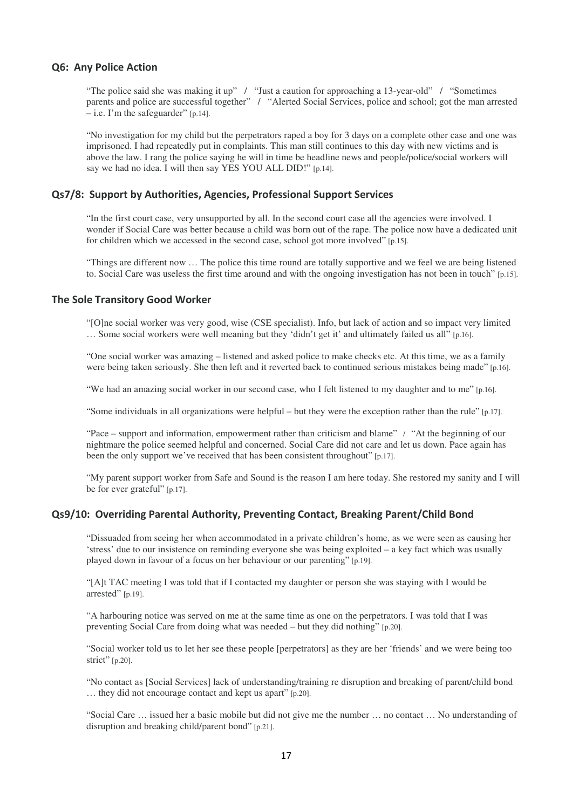#### **Q6: Any Police Action**

"The police said she was making it up" / "Just a caution for approaching a 13-year-old" / "Sometimes parents and police are successful together" / "Alerted Social Services, police and school; got the man arrested  $-$  i.e. I'm the safeguarder" [p.14].

"No investigation for my child but the perpetrators raped a boy for 3 days on a complete other case and one was imprisoned. I had repeatedly put in complaints. This man still continues to this day with new victims and is above the law. I rang the police saying he will in time be headline news and people/police/social workers will say we had no idea. I will then say YES YOU ALL DID!" [p.14].

#### **Qs7/8: Support by Authorities, Agencies, Professional Support Services**

"In the first court case, very unsupported by all. In the second court case all the agencies were involved. I wonder if Social Care was better because a child was born out of the rape. The police now have a dedicated unit for children which we accessed in the second case, school got more involved" [p.15].

"Things are different now … The police this time round are totally supportive and we feel we are being listened to. Social Care was useless the first time around and with the ongoing investigation has not been in touch" [p.15].

#### **The Sole Transitory Good Worker**

"[O]ne social worker was very good, wise (CSE specialist). Info, but lack of action and so impact very limited … Some social workers were well meaning but they 'didn't get it' and ultimately failed us all" [p.16].

"One social worker was amazing – listened and asked police to make checks etc. At this time, we as a family were being taken seriously. She then left and it reverted back to continued serious mistakes being made" [p.16].

"We had an amazing social worker in our second case, who I felt listened to my daughter and to me" [p.16].

"Some individuals in all organizations were helpful – but they were the exception rather than the rule" [p.17].

"Pace – support and information, empowerment rather than criticism and blame" / "At the beginning of our nightmare the police seemed helpful and concerned. Social Care did not care and let us down. Pace again has been the only support we've received that has been consistent throughout" [p.17].

"My parent support worker from Safe and Sound is the reason I am here today. She restored my sanity and I will be for ever grateful" [p.17].

## **Qs9/10: Overriding Parental Authority, Preventing Contact, Breaking Parent/Child Bond**

"Dissuaded from seeing her when accommodated in a private children's home, as we were seen as causing her 'stress' due to our insistence on reminding everyone she was being exploited – a key fact which was usually played down in favour of a focus on her behaviour or our parenting" [p.19].

"[A]t TAC meeting I was told that if I contacted my daughter or person she was staying with I would be arrested" [p.19].

"A harbouring notice was served on me at the same time as one on the perpetrators. I was told that I was preventing Social Care from doing what was needed – but they did nothing" [p.20].

"Social worker told us to let her see these people [perpetrators] as they are her 'friends' and we were being too strict" [p.20].

"No contact as [Social Services] lack of understanding/training re disruption and breaking of parent/child bond … they did not encourage contact and kept us apart" [p.20].

"Social Care … issued her a basic mobile but did not give me the number … no contact … No understanding of disruption and breaking child/parent bond" [p.21].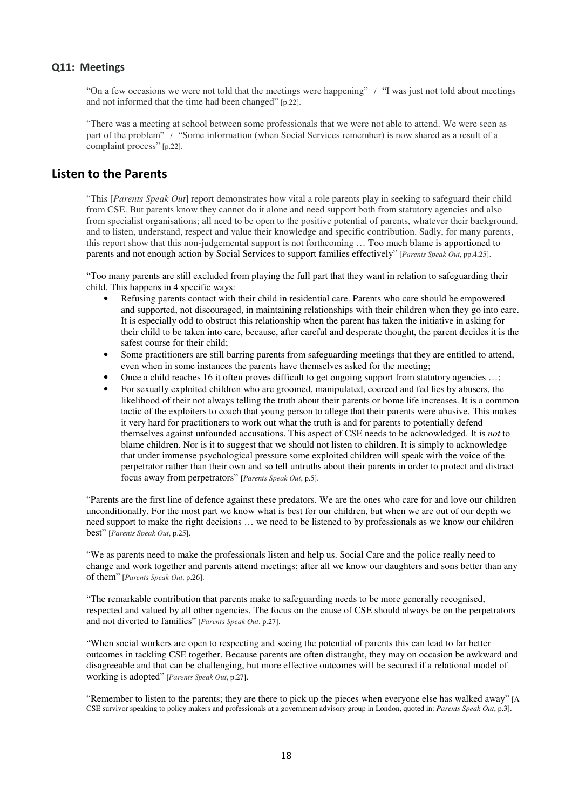### **Q11: Meetings**

"On a few occasions we were not told that the meetings were happening" / "I was just not told about meetings and not informed that the time had been changed" [p.22].

"There was a meeting at school between some professionals that we were not able to attend. We were seen as part of the problem" / "Some information (when Social Services remember) is now shared as a result of a complaint process" [p.22].

# **Listen to the Parents**

"This [*Parents Speak Out*] report demonstrates how vital a role parents play in seeking to safeguard their child from CSE. But parents know they cannot do it alone and need support both from statutory agencies and also from specialist organisations; all need to be open to the positive potential of parents, whatever their background, and to listen, understand, respect and value their knowledge and specific contribution. Sadly, for many parents, this report show that this non-judgemental support is not forthcoming … Too much blame is apportioned to parents and not enough action by Social Services to support families effectively" [*Parents Speak Out*, pp.4,25].

"Too many parents are still excluded from playing the full part that they want in relation to safeguarding their child. This happens in 4 specific ways:

- Refusing parents contact with their child in residential care. Parents who care should be empowered and supported, not discouraged, in maintaining relationships with their children when they go into care. It is especially odd to obstruct this relationship when the parent has taken the initiative in asking for their child to be taken into care, because, after careful and desperate thought, the parent decides it is the safest course for their child;
- Some practitioners are still barring parents from safeguarding meetings that they are entitled to attend, even when in some instances the parents have themselves asked for the meeting;
- Once a child reaches 16 it often proves difficult to get ongoing support from statutory agencies …;
- For sexually exploited children who are groomed, manipulated, coerced and fed lies by abusers, the likelihood of their not always telling the truth about their parents or home life increases. It is a common tactic of the exploiters to coach that young person to allege that their parents were abusive. This makes it very hard for practitioners to work out what the truth is and for parents to potentially defend themselves against unfounded accusations. This aspect of CSE needs to be acknowledged. It is *not* to blame children. Nor is it to suggest that we should not listen to children. It is simply to acknowledge that under immense psychological pressure some exploited children will speak with the voice of the perpetrator rather than their own and so tell untruths about their parents in order to protect and distract focus away from perpetrators" [*Parents Speak Out*, p.5].

"Parents are the first line of defence against these predators. We are the ones who care for and love our children unconditionally. For the most part we know what is best for our children, but when we are out of our depth we need support to make the right decisions … we need to be listened to by professionals as we know our children best" [*Parents Speak Out*, p.25].

"We as parents need to make the professionals listen and help us. Social Care and the police really need to change and work together and parents attend meetings; after all we know our daughters and sons better than any of them" [*Parents Speak Out*, p.26].

"The remarkable contribution that parents make to safeguarding needs to be more generally recognised, respected and valued by all other agencies. The focus on the cause of CSE should always be on the perpetrators and not diverted to families" [*Parents Speak Out*, p.27].

"When social workers are open to respecting and seeing the potential of parents this can lead to far better outcomes in tackling CSE together. Because parents are often distraught, they may on occasion be awkward and disagreeable and that can be challenging, but more effective outcomes will be secured if a relational model of working is adopted" [*Parents Speak Out*, p.27].

"Remember to listen to the parents; they are there to pick up the pieces when everyone else has walked away" [A CSE survivor speaking to policy makers and professionals at a government advisory group in London, quoted in: *Parents Speak Out*, p.3].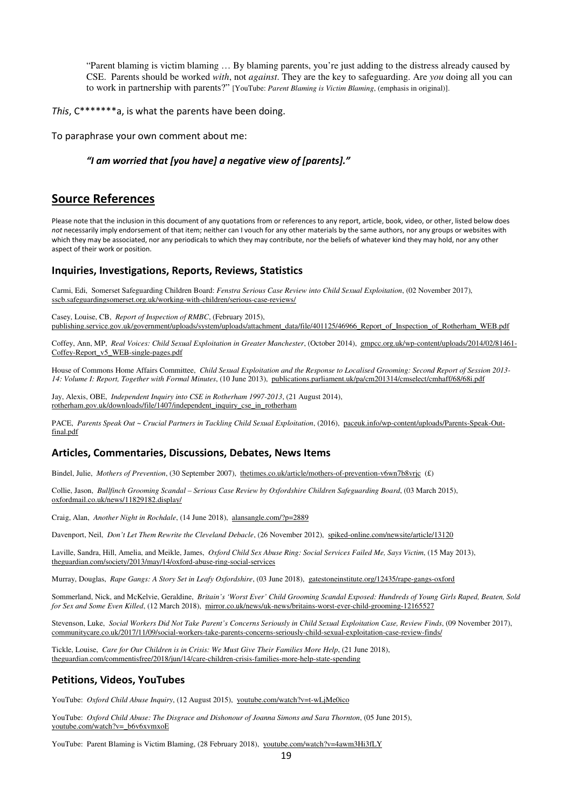"Parent blaming is victim blaming … By blaming parents, you're just adding to the distress already caused by CSE. Parents should be worked *with*, not *against*. They are the key to safeguarding. Are *you* doing all you can to work in partnership with parents?" [YouTube: *Parent Blaming is Victim Blaming*, (emphasis in original)].

*This*, C\*\*\*\*\*\*\*a, is what the parents have been doing.

To paraphrase your own comment about me:

#### *"I am worried that [you have] a negative view of [parents]."*

# **Source References**

Please note that the inclusion in this document of any quotations from or references to any report, article, book, video, or other, listed below does *not* necessarily imply endorsement of that item; neither can I vouch for any other materials by the same authors, nor any groups or websites with which they may be associated, nor any periodicals to which they may contribute, nor the beliefs of whatever kind they may hold, nor any other aspect of their work or position.

#### **Inquiries, Investigations, Reports, Reviews, Statistics**

Carmi, Edi, Somerset Safeguarding Children Board: *Fenstra Serious Case Review into Child Sexual Exploitation*, (02 November 2017), sscb.safeguardingsomerset.org.uk/working-with-children/serious-case-reviews/

Casey, Louise, CB, *Report of Inspection of RMBC*, (February 2015), publishing.service.gov.uk/government/uploads/system/uploads/attachment\_data/file/401125/46966\_Report\_of\_Inspection\_of\_Rotherham\_WEB.pdf

Coffey, Ann, MP, *Real Voices: Child Sexual Exploitation in Greater Manchester*, (October 2014), gmpcc.org.uk/wp-content/uploads/2014/02/81461- Coffey-Report\_v5\_WEB-single-pages.pdf

House of Commons Home Affairs Committee, *Child Sexual Exploitation and the Response to Localised Grooming: Second Report of Session 2013- 14: Volume I: Report, Together with Formal Minutes*, (10 June 2013), publications.parliament.uk/pa/cm201314/cmselect/cmhaff/68/68i.pdf

Jay, Alexis, OBE, *Independent Inquiry into CSE in Rotherham 1997-2013*, (21 August 2014), rotherham.gov.uk/downloads/file/1407/independent\_inquiry\_cse\_in\_rotherham

PACE, Parents Speak Out ~ Crucial Partners in Tackling Child Sexual Exploitation, (2016), paceuk.info/wp-content/uploads/Parents-Speak-Outfinal.pdf

## **Articles, Commentaries, Discussions, Debates, News Items**

Bindel, Julie, *Mothers of Prevention*, (30 September 2007), thetimes.co.uk/article/mothers-of-prevention-v6wn7b8vrjc (£)

Collie, Jason, *Bullfinch Grooming Scandal – Serious Case Review by Oxfordshire Children Safeguarding Board*, (03 March 2015), oxfordmail.co.uk/news/11829182.display/

Craig, Alan, *Another Night in Rochdale*, (14 June 2018), alansangle.com/?p=2889

Davenport, Neil, *Don't Let Them Rewrite the Cleveland Debacle*, (26 November 2012), spiked-online.com/newsite/article/13120

Laville, Sandra, Hill, Amelia, and Meikle, James, *Oxford Child Sex Abuse Ring: Social Services Failed Me, Says Victim*, (15 May 2013), theguardian.com/society/2013/may/14/oxford-abuse-ring-social-services

Murray, Douglas, *Rape Gangs: A Story Set in Leafy Oxfordshire*, (03 June 2018), gatestoneinstitute.org/12435/rape-gangs-oxford

Sommerland, Nick, and McKelvie, Geraldine, *Britain's 'Worst Ever' Child Grooming Scandal Exposed: Hundreds of Young Girls Raped, Beaten, Sold for Sex and Some Even Killed*, (12 March 2018), mirror.co.uk/news/uk-news/britains-worst-ever-child-grooming-12165527

Stevenson, Luke, *Social Workers Did Not Take Parent's Concerns Seriously in Child Sexual Exploitation Case, Review Finds*, (09 November 2017), communitycare.co.uk/2017/11/09/social-workers-take-parents-concerns-seriously-child-sexual-exploitation-case-review-finds/

Tickle, Louise, *Care for Our Children is in Crisis: We Must Give Their Families More Help*, (21 June 2018), theguardian.com/commentisfree/2018/jun/14/care-children-crisis-families-more-help-state-spending

#### **Petitions, Videos, YouTubes**

YouTube: *Oxford Child Abuse Inquiry*, (12 August 2015), youtube.com/watch?v=t-wLjMe0ico

YouTube: *Oxford Child Abuse: The Disgrace and Dishonour of Joanna Simons and Sara Thornton*, (05 June 2015), youtube.com/watch?v=\_b6v6xvmxoE

YouTube: Parent Blaming is Victim Blaming, (28 February 2018), youtube.com/watch?v=4awm3Hi3fLY